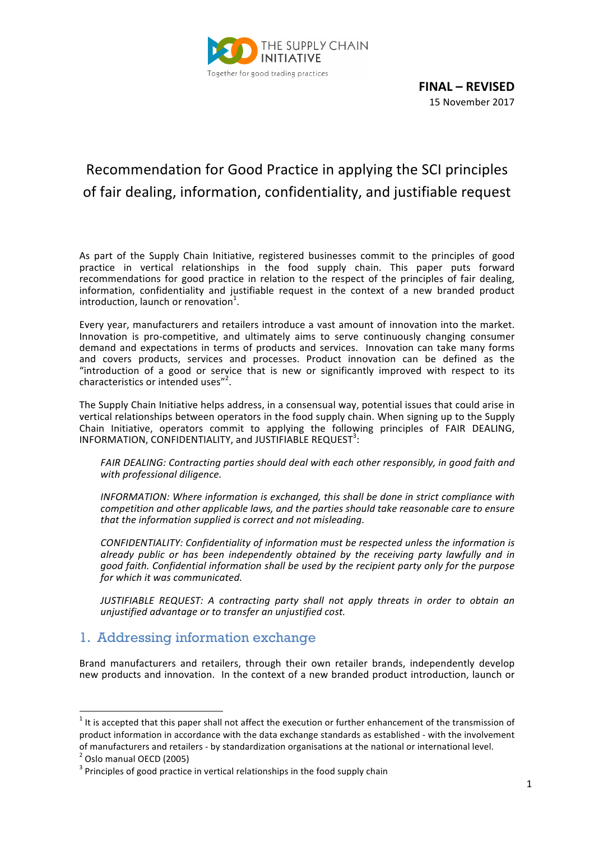

**FINAL – REVISED** 15 November 2017

# Recommendation for Good Practice in applying the SCI principles of fair dealing, information, confidentiality, and justifiable request

As part of the Supply Chain Initiative, registered businesses commit to the principles of good practice in vertical relationships in the food supply chain. This paper puts forward recommendations for good practice in relation to the respect of the principles of fair dealing, information, confidentiality and justifiable request in the context of a new branded product  $introduction,$  launch or renovation<sup>1</sup>.

Every year, manufacturers and retailers introduce a vast amount of innovation into the market. Innovation is pro-competitive, and ultimately aims to serve continuously changing consumer demand and expectations in terms of products and services. Innovation can take many forms and covers products, services and processes. Product innovation can be defined as the "introduction of a good or service that is new or significantly improved with respect to its characteristics or intended uses"<sup>2</sup>.

The Supply Chain Initiative helps address, in a consensual way, potential issues that could arise in vertical relationships between operators in the food supply chain. When signing up to the Supply Chain Initiative, operators commit to applying the following principles of FAIR DEALING, INFORMATION, CONFIDENTIALITY, and JUSTIFIABLE REQUEST<sup>3</sup>:

FAIR DEALING: Contracting parties should deal with each other responsibly, in good faith and with professional diligence.

*INFORMATION: Where information is exchanged, this shall be done in strict compliance with* competition and other applicable laws, and the parties should take reasonable care to ensure that the information supplied is correct and not misleading.

CONFIDENTIALITY: Confidentiality of information must be respected unless the information is *already% public% or% has% been% independently% obtained% by% the% receiving% party% lawfully% and% in% good%faith.%Confidential%information%shall%be%used%by%the%recipient%party%only%for%the%purpose%* for which it was communicated.

JUSTIFIABLE REQUEST: A contracting party shall not apply threats in order to obtain an *unjustified advantage or to transfer an unjustified cost.* 

## 1. Addressing information exchange

Brand manufacturers and retailers, through their own retailer brands, independently develop new products and innovation. In the context of a new branded product introduction, launch or

!!!!!!!!!!!!!!!!!!!!!!!!!!!!!!!!!!!!!!!!!!!!!!!!!!!!!!!!!!!!

 $1$  It is accepted that this paper shall not affect the execution or further enhancement of the transmission of product information in accordance with the data exchange standards as established - with the involvement of manufacturers and retailers - by standardization organisations at the national or international level.  $\frac{2}{3}$  Oslo manual OECD (2005)

 $3$  Principles of good practice in vertical relationships in the food supply chain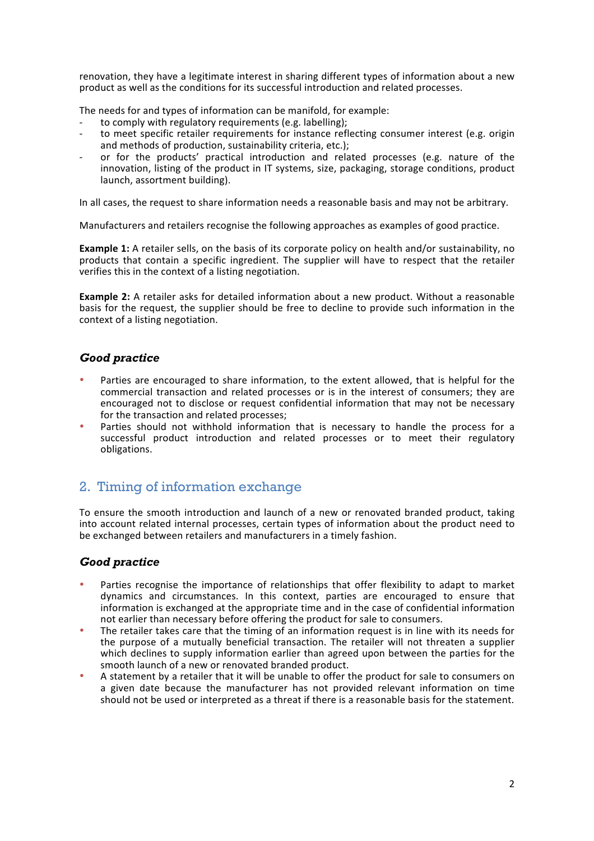renovation, they have a legitimate interest in sharing different types of information about a new product as well as the conditions for its successful introduction and related processes.

The needs for and types of information can be manifold, for example:

- to comply with regulatory requirements (e.g. labelling);
- to meet specific retailer requirements for instance reflecting consumer interest (e.g. origin and methods of production, sustainability criteria, etc.);
- or for the products' practical introduction and related processes (e.g. nature of the innovation, listing of the product in IT systems, size, packaging, storage conditions, product launch, assortment building).

In all cases, the request to share information needs a reasonable basis and may not be arbitrary.

Manufacturers and retailers recognise the following approaches as examples of good practice.

**Example 1:** A retailer sells, on the basis of its corporate policy on health and/or sustainability, no products that contain a specific ingredient. The supplier will have to respect that the retailer verifies this in the context of a listing negotiation.

**Example 2:** A retailer asks for detailed information about a new product. Without a reasonable basis for the request, the supplier should be free to decline to provide such information in the context of a listing negotiation.

### *Good practice*

- Parties are encouraged to share information, to the extent allowed, that is helpful for the commercial transaction and related processes or is in the interest of consumers; they are encouraged not to disclose or request confidential information that may not be necessary for the transaction and related processes:
- Parties should not withhold information that is necessary to handle the process for a successful product introduction and related processes or to meet their regulatory obligations.

## 2. Timing of information exchange

To ensure the smooth introduction and launch of a new or renovated branded product, taking into account related internal processes, certain types of information about the product need to be exchanged between retailers and manufacturers in a timely fashion.

### *Good practice*

- Parties recognise the importance of relationships that offer flexibility to adapt to market dynamics and circumstances. In this context, parties are encouraged to ensure that information is exchanged at the appropriate time and in the case of confidential information not earlier than necessary before offering the product for sale to consumers.
- The retailer takes care that the timing of an information request is in line with its needs for the purpose of a mutually beneficial transaction. The retailer will not threaten a supplier which declines to supply information earlier than agreed upon between the parties for the smooth launch of a new or renovated branded product.
- A statement by a retailer that it will be unable to offer the product for sale to consumers on a given date because the manufacturer has not provided relevant information on time should not be used or interpreted as a threat if there is a reasonable basis for the statement.